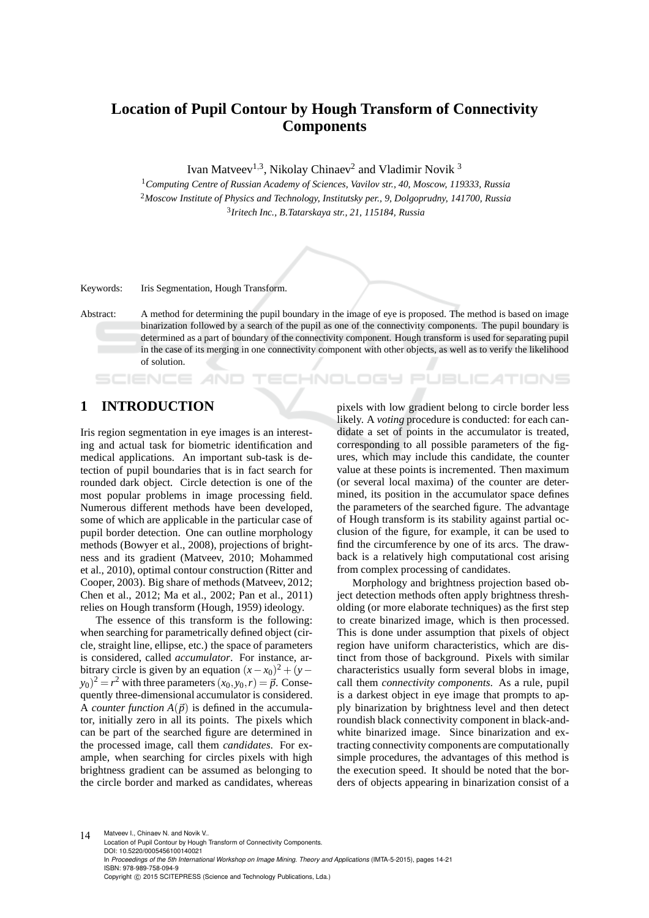# **Location of Pupil Contour by Hough Transform of Connectivity Components**

Ivan Matveev<sup>1,3</sup>, Nikolay Chinaev<sup>2</sup> and Vladimir Novik<sup>3</sup>

<sup>1</sup>*Computing Centre of Russian Academy of Sciences, Vavilov str., 40, Moscow, 119333, Russia* <sup>2</sup>*Moscow Institute of Physics and Technology, Institutsky per., 9, Dolgoprudny, 141700, Russia* 3 *Iritech Inc., B.Tatarskaya str., 21, 115184, Russia*

Keywords: Iris Segmentation, Hough Transform.

Abstract: A method for determining the pupil boundary in the image of eye is proposed. The method is based on image binarization followed by a search of the pupil as one of the connectivity components. The pupil boundary is determined as a part of boundary of the connectivity component. Hough transform is used for separating pupil in the case of its merging in one connectivity component with other objects, as well as to verify the likelihood of solution.

IHNOLOGY

### **1 INTRODUCTION**

SCIENCE

Iris region segmentation in eye images is an interesting and actual task for biometric identification and medical applications. An important sub-task is detection of pupil boundaries that is in fact search for rounded dark object. Circle detection is one of the most popular problems in image processing field. Numerous different methods have been developed, some of which are applicable in the particular case of pupil border detection. One can outline morphology methods (Bowyer et al., 2008), projections of brightness and its gradient (Matveev, 2010; Mohammed et al., 2010), optimal contour construction (Ritter and Cooper, 2003). Big share of methods (Matveev, 2012; Chen et al., 2012; Ma et al., 2002; Pan et al., 2011) relies on Hough transform (Hough, 1959) ideology.

The essence of this transform is the following: when searching for parametrically defined object (circle, straight line, ellipse, etc.) the space of parameters is considered, called *accumulator*. For instance, arbitrary circle is given by an equation  $(x - x_0)^2 + (y (y_0)^2 = r^2$  with three parameters  $(x_0, y_0, r) = \vec{p}$ . Consequently three-dimensional accumulator is considered. A *counter function*  $A(\vec{p})$  is defined in the accumulator, initially zero in all its points. The pixels which can be part of the searched figure are determined in the processed image, call them *candidates*. For example, when searching for circles pixels with high brightness gradient can be assumed as belonging to the circle border and marked as candidates, whereas pixels with low gradient belong to circle border less likely. A *voting* procedure is conducted: for each candidate a set of points in the accumulator is treated, corresponding to all possible parameters of the figures, which may include this candidate, the counter value at these points is incremented. Then maximum (or several local maxima) of the counter are determined, its position in the accumulator space defines the parameters of the searched figure. The advantage of Hough transform is its stability against partial occlusion of the figure, for example, it can be used to find the circumference by one of its arcs. The drawback is a relatively high computational cost arising from complex processing of candidates.

JBLIC ATIONS

Morphology and brightness projection based object detection methods often apply brightness thresholding (or more elaborate techniques) as the first step to create binarized image, which is then processed. This is done under assumption that pixels of object region have uniform characteristics, which are distinct from those of background. Pixels with similar characteristics usually form several blobs in image, call them *connectivity components*. As a rule, pupil is a darkest object in eye image that prompts to apply binarization by brightness level and then detect roundish black connectivity component in black-andwhite binarized image. Since binarization and extracting connectivity components are computationally simple procedures, the advantages of this method is the execution speed. It should be noted that the borders of objects appearing in binarization consist of a

14 Matveev I., Chinaev N. and Novik V.. Location of Pupil Contour by Hough Transform of Connectivity Components. DOI: 10.5220/0005456100140021 In *Proceedings of the 5th International Workshop on Image Mining. Theory and Applications* (IMTA-5-2015), pages 14-21 ISBN: 978-989-758-094-9 Copyright © 2015 SCITEPRESS (Science and Technology Publications, Lda.)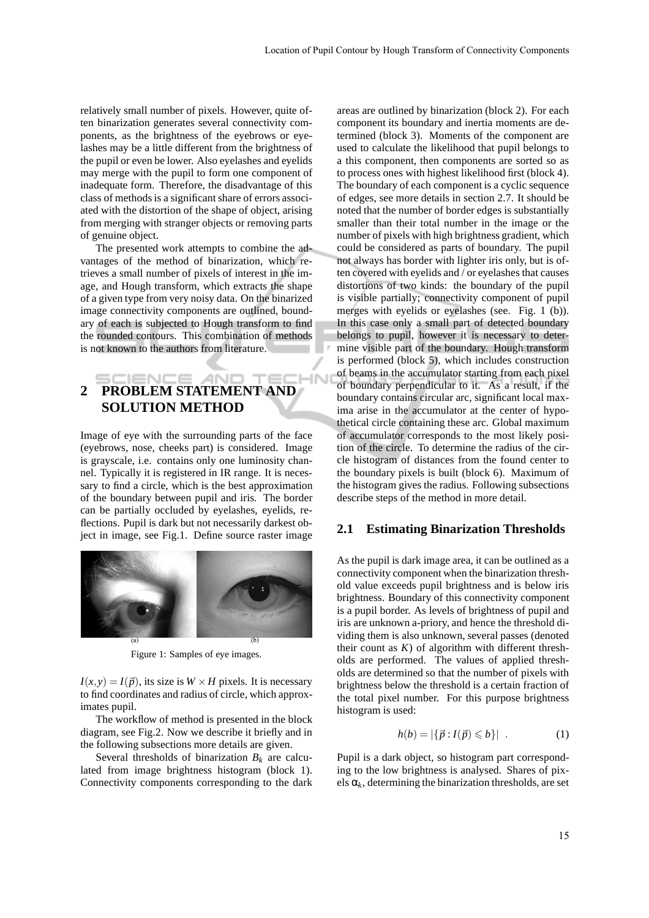relatively small number of pixels. However, quite often binarization generates several connectivity components, as the brightness of the eyebrows or eyelashes may be a little different from the brightness of the pupil or even be lower. Also eyelashes and eyelids may merge with the pupil to form one component of inadequate form. Therefore, the disadvantage of this class of methods is a significant share of errors associated with the distortion of the shape of object, arising from merging with stranger objects or removing parts of genuine object.

The presented work attempts to combine the advantages of the method of binarization, which retrieves a small number of pixels of interest in the image, and Hough transform, which extracts the shape of a given type from very noisy data. On the binarized image connectivity components are outlined, boundary of each is subjected to Hough transform to find the rounded contours. This combination of methods is not known to the authors from literature.

### IENC **2 PROBLEM STATEMENT AND SOLUTION METHOD**

4N

Image of eye with the surrounding parts of the face (eyebrows, nose, cheeks part) is considered. Image is grayscale, i.e. contains only one luminosity channel. Typically it is registered in IR range. It is necessary to find a circle, which is the best approximation of the boundary between pupil and iris. The border can be partially occluded by eyelashes, eyelids, reflections. Pupil is dark but not necessarily darkest object in image, see Fig.1. Define source raster image



Figure 1: Samples of eye images.

 $I(x, y) = I(\vec{p})$ , its size is  $W \times H$  pixels. It is necessary to find coordinates and radius of circle, which approximates pupil.

The workflow of method is presented in the block diagram, see Fig.2. Now we describe it briefly and in the following subsections more details are given.

Several thresholds of binarization  $B_k$  are calculated from image brightness histogram (block 1). Connectivity components corresponding to the dark areas are outlined by binarization (block 2). For each component its boundary and inertia moments are determined (block 3). Moments of the component are used to calculate the likelihood that pupil belongs to a this component, then components are sorted so as to process ones with highest likelihood first (block 4). The boundary of each component is a cyclic sequence of edges, see more details in section 2.7. It should be noted that the number of border edges is substantially smaller than their total number in the image or the number of pixels with high brightness gradient, which could be considered as parts of boundary. The pupil not always has border with lighter iris only, but is often covered with eyelids and / or eyelashes that causes distortions of two kinds: the boundary of the pupil is visible partially; connectivity component of pupil merges with eyelids or eyelashes (see. Fig. 1 (b)). In this case only a small part of detected boundary belongs to pupil, however it is necessary to determine visible part of the boundary. Hough transform is performed (block 5), which includes construction of beams in the accumulator starting from each pixel of boundary perpendicular to it. As a result, if the boundary contains circular arc, significant local maxima arise in the accumulator at the center of hypothetical circle containing these arc. Global maximum of accumulator corresponds to the most likely position of the circle. To determine the radius of the circle histogram of distances from the found center to the boundary pixels is built (block 6). Maximum of the histogram gives the radius. Following subsections describe steps of the method in more detail.

#### **2.1 Estimating Binarization Thresholds**

As the pupil is dark image area, it can be outlined as a connectivity component when the binarization threshold value exceeds pupil brightness and is below iris brightness. Boundary of this connectivity component is a pupil border. As levels of brightness of pupil and iris are unknown a-priory, and hence the threshold dividing them is also unknown, several passes (denoted their count as  $K$ ) of algorithm with different thresholds are performed. The values of applied thresholds are determined so that the number of pixels with brightness below the threshold is a certain fraction of the total pixel number. For this purpose brightness histogram is used:

$$
h(b) = |\{\vec{p} : I(\vec{p}) \leq b\}| \tag{1}
$$

Pupil is a dark object, so histogram part corresponding to the low brightness is analysed. Shares of pixels  $\alpha_k$ , determining the binarization thresholds, are set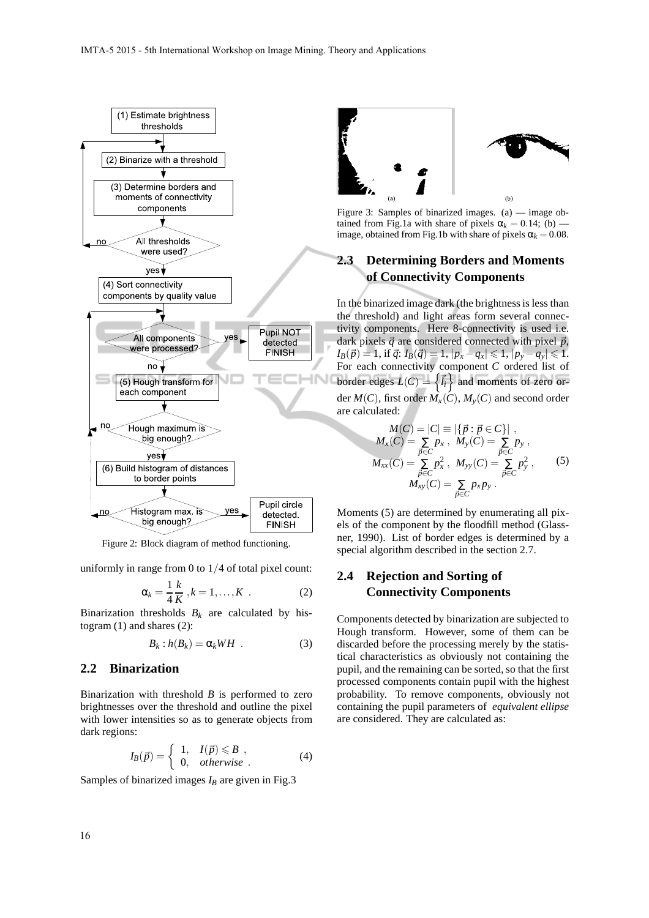

Figure 2: Block diagram of method functioning.

uniformly in range from  $0$  to  $1/4$  of total pixel count:

$$
\alpha_k = \frac{1}{4} \frac{k}{K}, k = 1, \dots, K
$$
 (2)

Binarization thresholds  $B_k$  are calculated by histogram (1) and shares (2):

$$
B_k : h(B_k) = \alpha_k W H . \tag{3}
$$

#### **2.2 Binarization**

Binarization with threshold *B* is performed to zero brightnesses over the threshold and outline the pixel with lower intensities so as to generate objects from dark regions:

$$
I_B(\vec{p}) = \begin{cases} 1, & I(\vec{p}) \leq B, \\ 0, & otherwise. \end{cases}
$$
 (4)

Samples of binarized images  $I_B$  are given in Fig.3



Figure 3: Samples of binarized images. (a) — image obtained from Fig.1a with share of pixels  $\alpha_k = 0.14$ ; (b) – image, obtained from Fig.1b with share of pixels  $\alpha_k = 0.08$ .

### **2.3 Determining Borders and Moments of Connectivity Components**

In the binarized image dark (the brightness is less than the threshold) and light areas form several connectivity components. Here 8-connectivity is used i.e. dark pixels  $\vec{q}$  are considered connected with pixel  $\vec{p}$ ,  $I_B(\vec{p}) = 1$ , if  $\vec{q}$ :  $I_B(\vec{q}) = 1$ ,  $|p_x - q_x| \leqslant 1$ ,  $|p_y - q_y| \leqslant 1$ . For each connectivity component *C* ordered list of border edges  $L(C) = \left\{ \vec{l}_i \right\}$  and moments of zero order  $M(C)$ , first order  $M_X(C)$ ,  $M_Y(C)$  and second order are calculated:

$$
M(C) = |C| \equiv |\{\vec{p} : \vec{p} \in C\}|,
$$
  
\n
$$
M_x(C) = \sum_{\vec{p} \in C} p_x, M_y(C) = \sum_{\vec{p} \in C} p_y,
$$
  
\n
$$
M_{xx}(C) = \sum_{\vec{p} \in C} p_x^2, M_{yy}(C) = \sum_{\vec{p} \in C} p_y^2,
$$
  
\n
$$
M_{xy}(C) = \sum_{\vec{p} \in C} p_x p_y.
$$
\n(5)

Moments (5) are determined by enumerating all pixels of the component by the floodfill method (Glassner, 1990). List of border edges is determined by a special algorithm described in the section 2.7.

### **2.4 Rejection and Sorting of Connectivity Components**

Components detected by binarization are subjected to Hough transform. However, some of them can be discarded before the processing merely by the statistical characteristics as obviously not containing the pupil, and the remaining can be sorted, so that the first processed components contain pupil with the highest probability. To remove components, obviously not containing the pupil parameters of *equivalent ellipse* are considered. They are calculated as: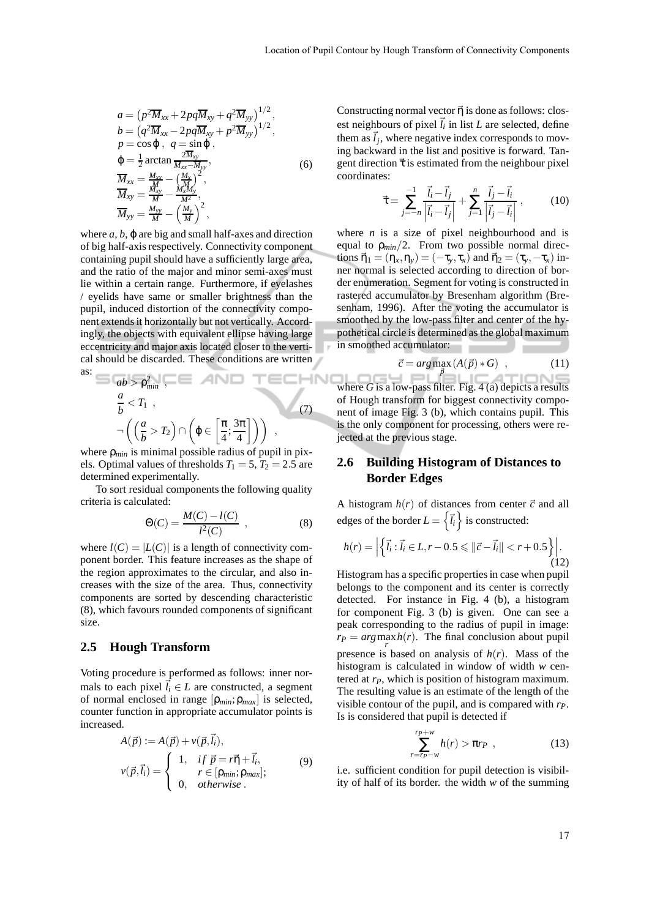$$
a = (p^2 \overline{M}_{xx} + 2pq \overline{M}_{xy} + q^2 \overline{M}_{yy})^{1/2},
$$
  
\n
$$
b = (q^2 \overline{M}_{xx} - 2pq \overline{M}_{xy} + p^2 \overline{M}_{yy})^{1/2},
$$
  
\n
$$
p = \cos \varphi, \quad q = \sin \varphi,
$$
  
\n
$$
\varphi = \frac{1}{2} \arctan \frac{2 \overline{M}_{xy}}{M_{xx} - M_{yy}},
$$
  
\n
$$
\overline{M}_{xx} = \frac{M_{xx}}{M_x} - \left(\frac{M_x}{M_x}\right)^2,
$$
  
\n
$$
\overline{M}_{xy} = \frac{M_{xy}}{M} - \left(\frac{M_y}{M}\right)^2,
$$
  
\n
$$
\overline{M}_{yy} = \frac{M_{yy}}{M} - \left(\frac{M_y}{M}\right)^2,
$$

where  $a, b, \varphi$  are big and small half-axes and direction of big half-axis respectively. Connectivity component containing pupil should have a sufficiently large area, and the ratio of the major and minor semi-axes must lie within a certain range. Furthermore, if eyelashes / eyelids have same or smaller brightness than the pupil, induced distortion of the connectivity component extends it horizontally but not vertically. Accordingly, the objects with equivalent ellipse having large eccentricity and major axis located closer to the vertical should be discarded. These conditions are written as:

$$
ab > \rho_{min}^2 , \qquad (7)
$$
  

$$
\frac{a}{b} < T_1 , \qquad (7)
$$
  

$$
\neg \left( \left( \frac{a}{b} > T_2 \right) \cap \left( \varphi \in \left[ \frac{\pi}{4}; \frac{3\pi}{4} \right] \right) \right) ,
$$

where ρ*min* is minimal possible radius of pupil in pixels. Optimal values of thresholds  $T_1 = 5$ ,  $T_2 = 2.5$  are determined experimentally.

To sort residual components the following quality criteria is calculated:

$$
\Theta(C) = \frac{M(C) - l(C)}{l^2(C)} , \qquad (8)
$$

where  $l(C) = |L(C)|$  is a length of connectivity component border. This feature increases as the shape of the region approximates to the circular, and also increases with the size of the area. Thus, connectivity components are sorted by descending characteristic (8), which favours rounded components of significant size.

#### **2.5 Hough Transform**

Voting procedure is performed as follows: inner normals to each pixel  $l_i \in L$  are constructed, a segment of normal enclosed in range [ρ*min*;ρ*max*] is selected, counter function in appropriate accumulator points is increased.

$$
A(\vec{p}) := A(\vec{p}) + v(\vec{p}, \vec{l}_i),
$$
  
\n
$$
v(\vec{p}, \vec{l}_i) = \begin{cases} 1, & \text{if } \vec{p} = r\vec{\eta} + \vec{l}_i, \\ r \in [\mathsf{p}_{\text{min}}; \mathsf{p}_{\text{max}}]; \\ 0, & \text{otherwise.} \end{cases}
$$
 (9)

Constructing normal vector  $\vec{\eta}$  is done as follows: closest neighbours of pixel  $\vec{l}_i$  in list *L* are selected, define them as  $\vec{l}_j$ , where negative index corresponds to moving backward in the list and positive is forward. Tangent direction  $\vec{\tau}$  is estimated from the neighbour pixel coordinates:

$$
\vec{\tau} = \sum_{j=-n}^{-1} \frac{\vec{l}_i - \vec{l}_j}{\left| \vec{l}_i - \vec{l}_j \right|} + \sum_{j=1}^{n} \frac{\vec{l}_j - \vec{l}_i}{\left| \vec{l}_j - \vec{l}_i \right|},
$$
(10)

where  $n$  is a size of pixel neighbourhood and is equal to  $\rho_{min}/2$ . From two possible normal directions  $\vec{\eta}_1 = (\eta_x, \eta_y) = (-\tau_y, \tau_x)$  and  $\vec{\eta}_2 = (\tau_y, -\tau_x)$  inner normal is selected according to direction of border enumeration. Segment for voting is constructed in rastered accumulator by Bresenham algorithm (Bresenham, 1996). After the voting the accumulator is smoothed by the low-pass filter and center of the hypothetical circle is determined as the global maximum in smoothed accumulator:

$$
\vec{c} = arg \max_{\vec{p}} (A(\vec{p}) * G) , \qquad (11)
$$

where *G* is a low-pass filter. Fig. 4 (a) depicts a results of Hough transform for biggest connectivity component of image Fig. 3 (b), which contains pupil. This is the only component for processing, others were rejected at the previous stage.

### **2.6 Building Histogram of Distances to Border Edges**

A histogram  $h(r)$  of distances from center  $\vec{c}$  and all edges of the border  $L = \{ \vec{i}_i \}$  is constructed:

$$
h(r) = \left| \left\{ \vec{l}_i : \vec{l}_i \in L, r - 0.5 \leq ||\vec{c} - \vec{l}_i|| < r + 0.5 \right\} \right|.
$$
\n(12)

Histogram has a specific properties in case when pupil belongs to the component and its center is correctly detected. For instance in Fig. 4 (b), a histogram for component Fig. 3 (b) is given. One can see a peak corresponding to the radius of pupil in image:  $r_P = arg \max_{r} h(r)$ . The final conclusion about pupil presence is based on analysis of  $h(r)$ . Mass of the histogram is calculated in window of width *w* centered at *rP*, which is position of histogram maximum. The resulting value is an estimate of the length of the visible contour of the pupil, and is compared with *rP*. Is is considered that pupil is detected if

$$
\sum_{r=r_P-w}^{r_P+w} h(r) > \pi r_P , \qquad (13)
$$

i.e. sufficient condition for pupil detection is visibility of half of its border. the width *w* of the summing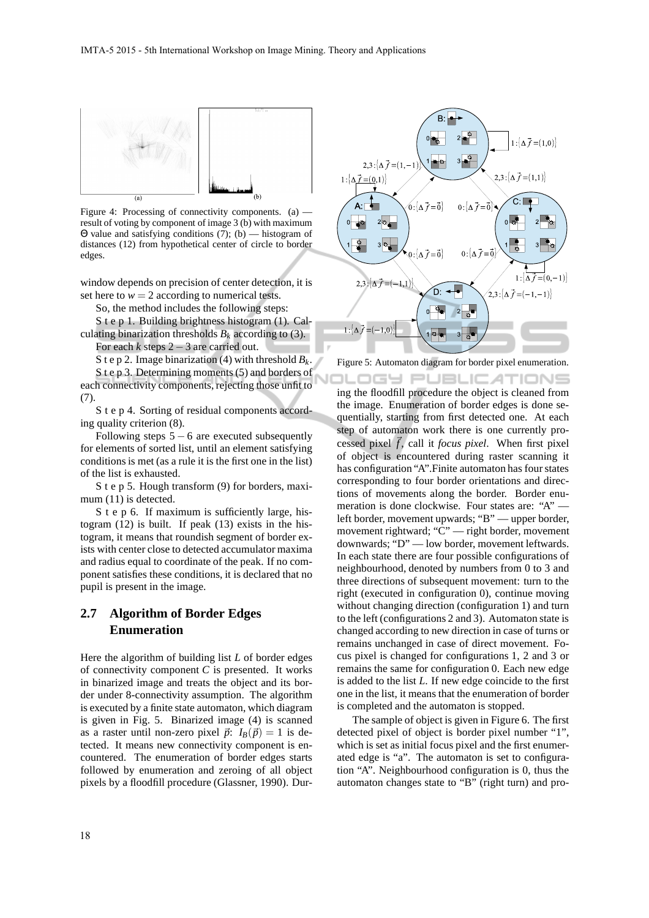

Figure 4: Processing of connectivity components. (a)  $$ result of voting by component of image 3 (b) with maximum Θ value and satisfying conditions (7); (b) — histogram of distances (12) from hypothetical center of circle to border edges.

window depends on precision of center detection, it is set here to  $w = 2$  according to numerical tests.

So, the method includes the following steps:

S t e p 1. Building brightness histogram (1). Calculating binarization thresholds  $B_k$  according to (3).

For each *k* steps 2−3 are carried out.

S t e p 2. Image binarization (4) with threshold  $B_k$ .

S t e p 3. Determining moments (5) and borders of each connectivity components, rejecting those unfit to (7).

S t e p 4. Sorting of residual components according quality criterion (8).

Following steps  $5 - 6$  are executed subsequently for elements of sorted list, until an element satisfying conditions is met (as a rule it is the first one in the list) of the list is exhausted.

S t e p 5. Hough transform (9) for borders, maximum (11) is detected.

S t e p 6. If maximum is sufficiently large, histogram (12) is built. If peak (13) exists in the histogram, it means that roundish segment of border exists with center close to detected accumulator maxima and radius equal to coordinate of the peak. If no component satisfies these conditions, it is declared that no pupil is present in the image.

# **2.7 Algorithm of Border Edges Enumeration**

Here the algorithm of building list *L* of border edges of connectivity component *C* is presented. It works in binarized image and treats the object and its border under 8-connectivity assumption. The algorithm is executed by a finite state automaton, which diagram is given in Fig. 5. Binarized image (4) is scanned as a raster until non-zero pixel  $\vec{p}$ :  $I_B(\vec{p}) = 1$  is detected. It means new connectivity component is encountered. The enumeration of border edges starts followed by enumeration and zeroing of all object pixels by a floodfill procedure (Glassner, 1990). Dur-



Figure 5: Automaton diagram for border pixel enumeration.

**DGY PUBLICATIONS** ing the floodfill procedure the object is cleaned from the image. Enumeration of border edges is done sequentially, starting from first detected one. At each step of automaton work there is one currently processed pixel  $\vec{f}$ , call it *focus pixel*. When first pixel of object is encountered during raster scanning it has configuration "A".Finite automaton has four states corresponding to four border orientations and directions of movements along the border. Border enumeration is done clockwise. Four states are: "A" left border, movement upwards; "B" — upper border, movement rightward; "C" — right border, movement downwards; "D" — low border, movement leftwards. In each state there are four possible configurations of neighbourhood, denoted by numbers from 0 to 3 and three directions of subsequent movement: turn to the right (executed in configuration 0), continue moving without changing direction (configuration 1) and turn to the left (configurations 2 and 3). Automaton state is changed according to new direction in case of turns or remains unchanged in case of direct movement. Focus pixel is changed for configurations 1, 2 and 3 or remains the same for configuration 0. Each new edge is added to the list *L*. If new edge coincide to the first one in the list, it means that the enumeration of border is completed and the automaton is stopped.

The sample of object is given in Figure 6. The first detected pixel of object is border pixel number "1", which is set as initial focus pixel and the first enumerated edge is "a". The automaton is set to configuration "A". Neighbourhood configuration is 0, thus the automaton changes state to "B" (right turn) and pro-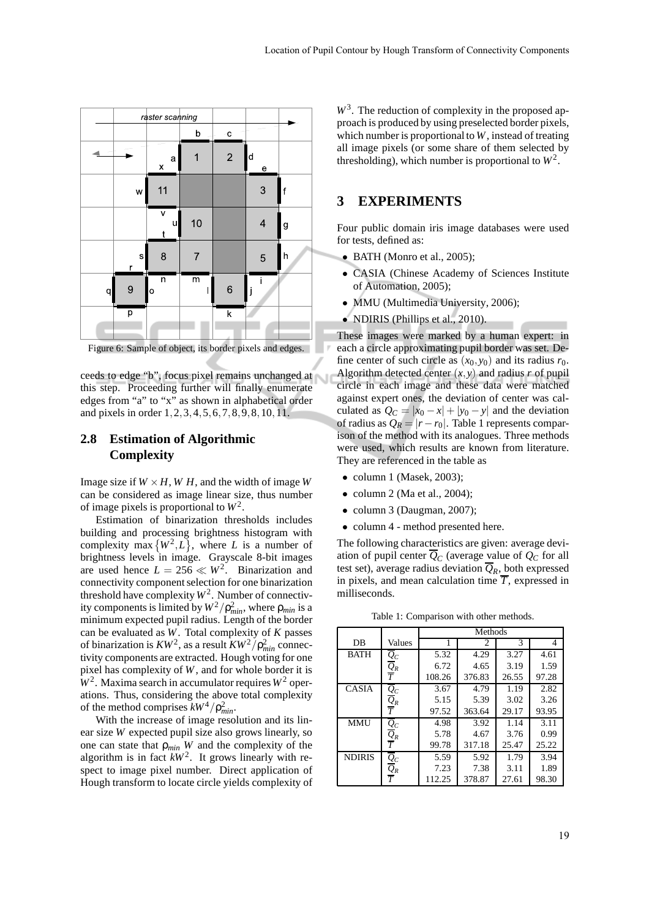|   | raster scanning  |                                   |                         |                |                                                                |   |
|---|------------------|-----------------------------------|-------------------------|----------------|----------------------------------------------------------------|---|
|   |                  |                                   | $\overline{\mathsf{b}}$ | $\mathbf{c}$   |                                                                |   |
|   |                  | a<br>X                            |                         | $\overline{c}$ | $\mathsf{d}$<br>$\mathbf{e}% _{t}\left( \mathbf{1}_{t}\right)$ |   |
|   | W                | 11                                |                         |                | 3                                                              | f |
|   |                  | $\overline{\mathsf{v}}$<br>u<br>t | 10                      |                | $\overline{4}$                                                 | g |
|   | $\mathbf S$<br>r | 8                                 |                         |                | 5                                                              | h |
| q | 9                | n<br>o                            | $\overline{m}$          | 6              | j                                                              |   |
|   | p                |                                   |                         | k              |                                                                |   |

Figure 6: Sample of object, its border pixels and edges.

ceeds to edge "b", focus pixel remains unchanged at this step. Proceeding further will finally enumerate edges from "a" to "x" as shown in alphabetical order and pixels in order 1,2,3,4,5,6,7,8,9,8,10,11.

### **2.8 Estimation of Algorithmic Complexity**

Image size if  $W \times H$ ,  $W H$ , and the width of image *W* can be considered as image linear size, thus number of image pixels is proportional to  $W^2$ .

Estimation of binarization thresholds includes building and processing brightness histogram with complexity max  $\{W^2, L\}$ , where *L* is a number of brightness levels in image. Grayscale 8-bit images are used hence  $L = 256 \ll W^2$ . Binarization and connectivity component selection for one binarization threshold have complexity  $W^2$ . Number of connectivity components is limited by  $W^2/\rho_{min}^2$ , where  $\rho_{min}$  is a minimum expected pupil radius. Length of the border can be evaluated as *W*. Total complexity of *K* passes of binarization is  $KW^2$ , as a result  $KW^2/\rho_{min}^2$  connectivity components are extracted. Hough voting for one pixel has complexity of *W*, and for whole border it is  $W<sup>2</sup>$ . Maxima search in accumulator requires  $W<sup>2</sup>$  operations. Thus, considering the above total complexity of the method comprises  $kW^4/\rho_{min}^2$ .

With the increase of image resolution and its linear size *W* expected pupil size also grows linearly, so one can state that ρ*min W* and the complexity of the algorithm is in fact  $kW^2$ . It grows linearly with respect to image pixel number. Direct application of Hough transform to locate circle yields complexity of

W<sup>3</sup>. The reduction of complexity in the proposed approach is produced by using preselected border pixels, which number is proportional to *W*, instead of treating all image pixels (or some share of them selected by thresholding), which number is proportional to  $W^2$ .

# **3 EXPERIMENTS**

Four public domain iris image databases were used for tests, defined as:

- BATH (Monro et al., 2005);
- CASIA (Chinese Academy of Sciences Institute of Automation, 2005);
- MMU (Multimedia University, 2006);
- NDIRIS (Phillips et al., 2010).

These images were marked by a human expert: in each a circle approximating pupil border was set. Define center of such circle as  $(x_0, y_0)$  and its radius  $r_0$ . Algorithm detected center  $(x, y)$  and radius *r* of pupil circle in each image and these data were matched against expert ones, the deviation of center was calculated as  $Q_C = |x_0 - x| + |y_0 - y|$  and the deviation of radius as  $Q_R = |r - r_0|$ . Table 1 represents comparison of the method with its analogues. Three methods were used, which results are known from literature. They are referenced in the table as

- column 1 (Masek, 2003);
- $\bullet$  column 2 (Ma et al., 2004);
- column 3 (Daugman, 2007);
- column 4 method presented here.

The following characteristics are given: average deviation of pupil center  $\overline{Q}_C$  (average value of  $Q_C$  for all test set), average radius deviation  $\overline{Q}_R$ , both expressed in pixels, and mean calculation time  $\overline{T}$ , expressed in milliseconds.

Table 1: Comparison with other methods.

|               |                                         | Methods |        |       |       |  |  |
|---------------|-----------------------------------------|---------|--------|-------|-------|--|--|
| DB            | Values                                  |         | 2      | 3     | 4     |  |  |
| <b>BATH</b>   |                                         | 5.32    | 4.29   | 3.27  | 4.61  |  |  |
|               | $\frac{\overline{Q}_C}{\overline{Q}_R}$ | 6.72    | 4.65   | 3.19  | 1.59  |  |  |
|               |                                         | 108.26  | 376.83 | 26.55 | 97.28 |  |  |
| <b>CASIA</b>  |                                         | 3.67    | 4.79   | 1.19  | 2.82  |  |  |
|               | $\frac{\overline{Q}_C}{\overline{Q}_R}$ | 5.15    | 5.39   | 3.02  | 3.26  |  |  |
|               |                                         | 97.52   | 363.64 | 29.17 | 93.95 |  |  |
| <b>MMU</b>    |                                         | 4.98    | 3.92   | 1.14  | 3.11  |  |  |
|               | $\frac{\overline{Q}_C}{\overline{Q}_R}$ | 5.78    | 4.67   | 3.76  | 0.99  |  |  |
|               |                                         | 99.78   | 317.18 | 25.47 | 25.22 |  |  |
| <b>NDIRIS</b> |                                         | 5.59    | 5.92   | 1.79  | 3.94  |  |  |
|               | $\frac{\overline{Q}_C}{\overline{Q}_R}$ | 7.23    | 7.38   | 3.11  | 1.89  |  |  |
|               |                                         | 112.25  | 378.87 | 27.61 | 98.30 |  |  |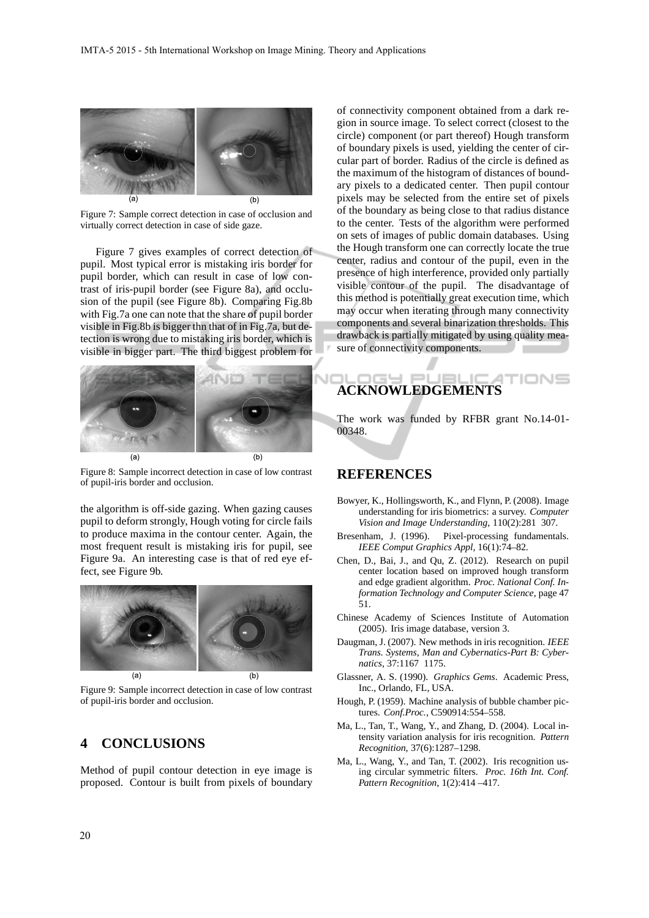

Figure 7: Sample correct detection in case of occlusion and virtually correct detection in case of side gaze.

Figure 7 gives examples of correct detection of pupil. Most typical error is mistaking iris border for pupil border, which can result in case of low contrast of iris-pupil border (see Figure 8a), and occlusion of the pupil (see Figure 8b). Comparing Fig.8b with Fig.7a one can note that the share of pupil border visible in Fig.8b is bigger thn that of in Fig.7a, but detection is wrong due to mistaking iris border, which is visible in bigger part. The third biggest problem for



Figure 8: Sample incorrect detection in case of low contrast of pupil-iris border and occlusion.

the algorithm is off-side gazing. When gazing causes pupil to deform strongly, Hough voting for circle fails to produce maxima in the contour center. Again, the most frequent result is mistaking iris for pupil, see Figure 9a. An interesting case is that of red eye effect, see Figure 9b.



Figure 9: Sample incorrect detection in case of low contrast of pupil-iris border and occlusion.

# **4 CONCLUSIONS**

Method of pupil contour detection in eye image is proposed. Contour is built from pixels of boundary of connectivity component obtained from a dark region in source image. To select correct (closest to the circle) component (or part thereof) Hough transform of boundary pixels is used, yielding the center of circular part of border. Radius of the circle is defined as the maximum of the histogram of distances of boundary pixels to a dedicated center. Then pupil contour pixels may be selected from the entire set of pixels of the boundary as being close to that radius distance to the center. Tests of the algorithm were performed on sets of images of public domain databases. Using the Hough transform one can correctly locate the true center, radius and contour of the pupil, even in the presence of high interference, provided only partially visible contour of the pupil. The disadvantage of this method is potentially great execution time, which may occur when iterating through many connectivity components and several binarization thresholds. This drawback is partially mitigated by using quality measure of connectivity components.

### 'IONS **ACKNOWLEDGEMENTS**

The work was funded by RFBR grant No.14-01- 00348.

#### **REFERENCES**

- Bowyer, K., Hollingsworth, K., and Flynn, P. (2008). Image understanding for iris biometrics: a survey. *Computer Vision and Image Understanding*, 110(2):281 307.
- Bresenham, J. (1996). Pixel-processing fundamentals. *IEEE Comput Graphics Appl*, 16(1):74–82.
- Chen, D., Bai, J., and Qu, Z. (2012). Research on pupil center location based on improved hough transform and edge gradient algorithm. *Proc. National Conf. Information Technology and Computer Science*, page 47 51.
- Chinese Academy of Sciences Institute of Automation (2005). Iris image database, version 3.
- Daugman, J. (2007). New methods in iris recognition. *IEEE Trans. Systems, Man and Cybernatics-Part B: Cybernatics*, 37:1167 1175.
- Glassner, A. S. (1990). *Graphics Gems*. Academic Press, Inc., Orlando, FL, USA.
- Hough, P. (1959). Machine analysis of bubble chamber pictures. *Conf.Proc.*, C590914:554–558.
- Ma, L., Tan, T., Wang, Y., and Zhang, D. (2004). Local intensity variation analysis for iris recognition. *Pattern Recognition*, 37(6):1287–1298.
- Ma, L., Wang, Y., and Tan, T. (2002). Iris recognition using circular symmetric filters. *Proc. 16th Int. Conf. Pattern Recognition*, 1(2):414 –417.